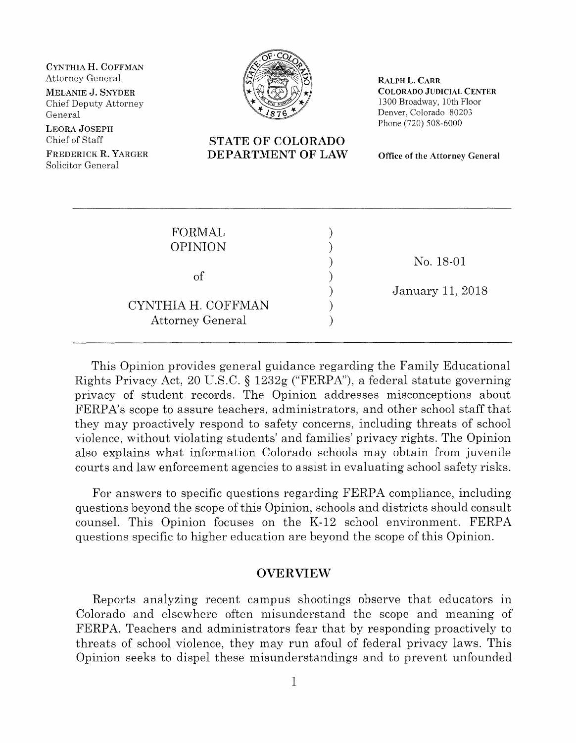**CYNTHIA H. COFFMAN** 

Chief Deputy Attorney General

**LEORA JOSEPH** 

Chief of Staff **STATE OF COLORADO**<br> **STATE OF COLORADO**<br> **STATE OF COLORADO** Solicitor General



**RALPH L. CARR MELANIE J. SNYDER**  $\mathbb{R} \setminus \mathbb{R}$   $\mathbb{R} \setminus \mathbb{R}$  COLORADO JUDICIAL CENTER 1300 Broadway, 10th Floor Denver, Colorado 80203 Phone (720) 508-6000

**FREDERICK DEPARTMENT OF LAW Office of the Attorney General** 

| FORMAL<br><b>OPINION</b> |                  |
|--------------------------|------------------|
|                          | No. 18-01        |
| $\mathrm{of}$            | January 11, 2018 |
| CYNTHIA H. COFFMAN       |                  |
| <b>Attorney General</b>  |                  |

This Opinion provides general guidance regarding the Family Educational Rights Privacy Act, 20 U.S.C. § 1232g ("FERPA"), a federal statute governing privacy of student records. The Opinion addresses misconceptions about FERPA's scope to assure teachers, administrators, and other school staff that they may proactively respond to safety concerns, including threats of school violence, without violating students' and families' privacy rights. The Opinion also explains what information Colorado schools may obtain from juvenile courts and law enforcement agencies to assist in evaluating school safety risks.

For answers to specific questions regarding FERPA compliance, including questions beyond the scope of this Opinion, schools and districts should consult counsel. This Opinion focuses on the K-12 school environment. FERPA questions specific to higher education are beyond the scope of this Opinion.

#### **OVERVIEW**

Reports analyzing recent campus shootings observe that educators in Colorado and elsewhere often misunderstand the scope and meaning of FERPA. Teachers and administrators fear that by responding proactively to threats of school violence, they may run afoul of federal privacy laws. This Opinion seeks to dispel these misunderstandings and to prevent unfounded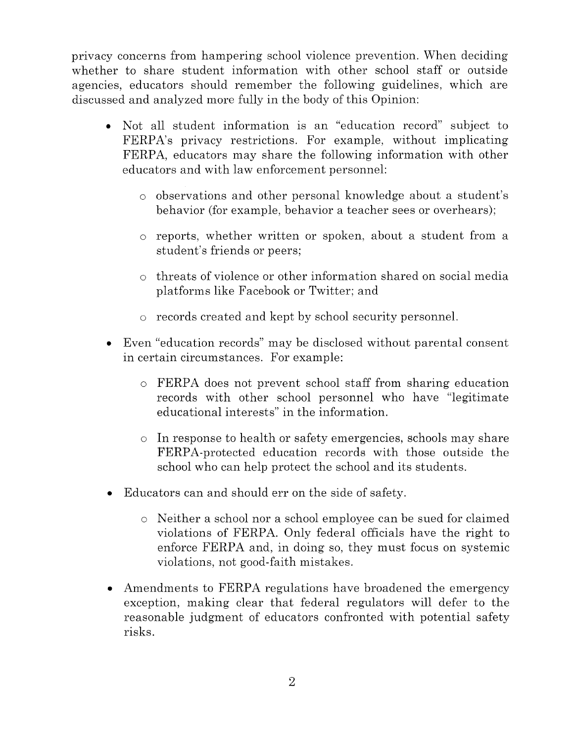privacy concerns from hampering school violence prevention. When deciding whether to share student information with other school staff or outside agencies, educators should remember the following guidelines, which are discussed and analyzed more fully in the body of this Opinion:

- Not all student information is an "education record" subject to FERPA's privacy restrictions. For example, without implicating FERPA, educators may share the following information with other educators and with law enforcement personnel:
	- o observations and other personal knowledge about a student's behavior (for example, behavior a teacher sees or overhears);
	- reports, whether written or spoken, about a student from a student's friends or peers;
	- $\circ$  threats of violence or other information shared on social media platforms like Facebook or Twitter; and
	- $\circ$  records created and kept by school security personnel.
- Even "education records" may be disclosed without parental consent in certain circumstances. For example:
	- $\circ$  FERPA does not prevent school staff from sharing education records with other school personnel who have "legitimate educational interests" in the information.
	- $\circ$  In response to health or safety emergencies, schools may share FERPA-protected education records with those outside the school who can help protect the school and its students.
- Educators can and should err on the side of safety.
	- o Neither a school nor a school employee can be sued for claimed violations of FERPA. Only federal officials have the right to enforce FERPA and, in doing so, they must focus on systemic violations, not good-faith mistakes.
- Amendments to FERPA regulations have broadened the emergency exception, making clear that federal regulators will defer to the reasonable judgment of educators confronted with potential safety risks.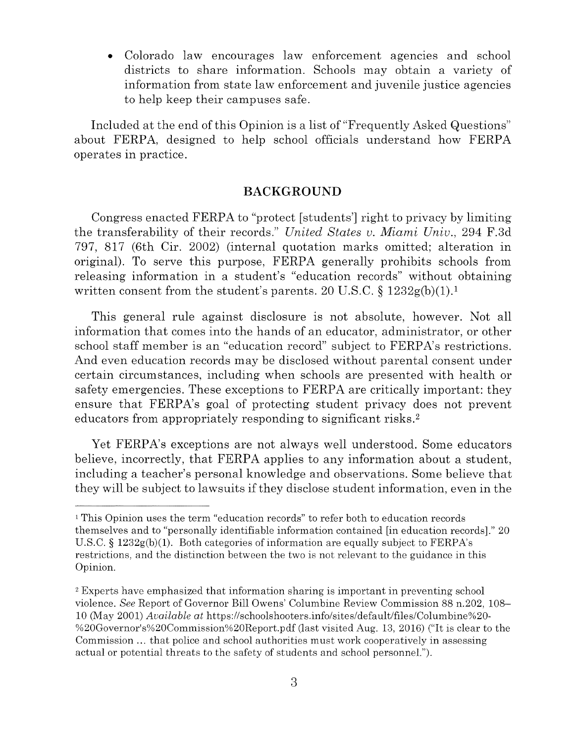Colorado law encourages law enforcement agencies and school districts to share information. Schools may obtain a variety of information from state law enforcement and juvenile justice agencies to help keep their campuses safe.

Included at the end of this Opinion is a list of "Frequently Asked Questions" about FERPA, designed to help school officials understand how FERPA operates in practice.

#### **BACKGROUND**

Congress enacted FERPA to "protect [students'] right to privacy by limiting the transferability of their records." *United States u. Miami Univ.,* 294 F.3d 797, 817 (6th Cir. 2002) (internal quotation marks omitted; alteration in original). To serve this purpose, FERPA generally prohibits schools from releasing information in a student's "education records" without obtaining written consent from the student's parents. 20 U.S.C.  $\S 1232g(b)(1).<sup>1</sup>$ 

This general rule against disclosure is not absolute, however. Not all information that comes into the hands of an educator, administrator, or other school staff member is an "education record" subject to FERPA's restrictions. And even education records may be disclosed without parental consent under certain circumstances, including when schools are presented with health or safety emergencies. These exceptions to FERPA are critically important: they ensure that FERPA's goal of protecting student privacy does not prevent educators from appropriately responding to significant risks.<sup>2</sup>

Yet FERPA's exceptions are not always well understood. Some educators believe, incorrectly, that FERPA applies to any information about a student, including a teacher's personal knowledge and observations. Some believe that they will be subject to lawsuits ifthey disclose student information, even in the

<sup>1</sup> This Opinion uses the term "education records" to refer both to education records themselves and to "personally identifiable information contained [in education records]." 20 U.S.C. § 1232g(b)(1). Both categories of information are equally subject to FERPA's restrictions, and the distinction between the two is not relevant to the guidance in this Opinion.

<sup>2</sup>Experts have emphasized that information sharing is important in preventing school violence. *See* Report of Governor Bill Owens' Columbine Review Commission 88 n.202, 108 10 (May 2001) *Available at* https://schoolshooters.info/sites/default/files/Columbine%20 %20Governor's%20Commission%20Report.pdf (last visited Aug. 13, 2016) ("It is clear to the Commission ... that police and school authorities must work cooperatively in assessing actual or potential threats to the safety of students and school personnel.").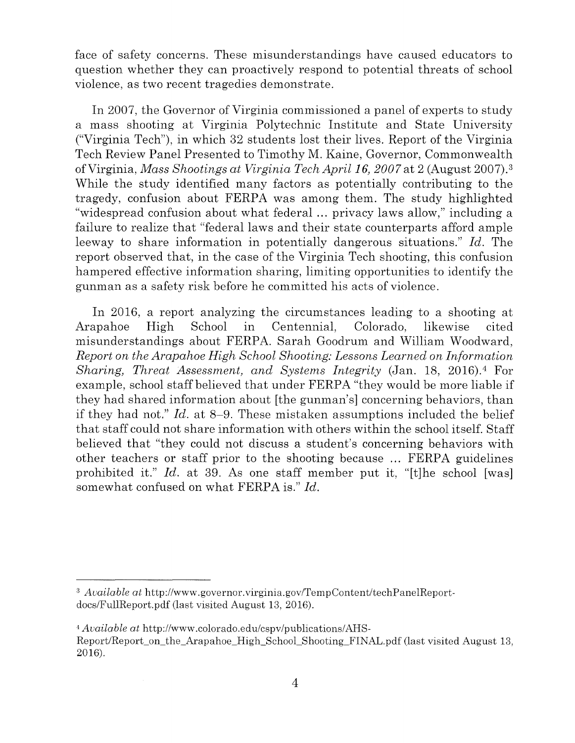face of safety concerns. These misunderstandings have caused educators to question whether they can proactively respond to potential threats of school violence, as two recent tragedies demonstrate.

In 2007, the Governor of Virginia commissioned a panel of experts to study a mass shooting at Virginia Polytechnic Institute and State University ("Virginia Tech"), in which 32 students lost their lives. Report of the Virginia Tech Review Panel Presented to Timothy M. Kaine, Governor, Commonwealth ofVirginia, *Mass Shootings at Virginia Tech April* **16,** *2007* at 2 (August 2007). <sup>3</sup> While the study identified many factors as potentially contributing to the tragedy, confusion about FERPA was among them. The study highlighted "widespread confusion about what federal ... privacy laws allow," including a failure to realize that "federal laws and their state counterparts afford ample leeway to share information in potentially dangerous situations." *Id.* The report observed that, in the case of the Virginia Tech shooting, this confusion hampered effective information sharing, limiting opportunities to identify the gunman as a safety risk before he committed his acts of violence.

In 2016, a report analyzing the circumstances leading to a shooting at Arapahoe High School in Centennial, Colorado, likewise cited misunderstandings about FERPA. Sarah Goodrum and William Woodward, *Report on the Arapahoe High School Shooting: Lessons Learned on Information Sharing, Threat Assessment, and Systems Integrity (Jan. 18, 2016).*<sup>4</sup> For example, school staff believed that under FERPA "they would be more liable if they had shared information about [the gunman's] concerning behaviors, than if they had not." *Id.* at 8-9. These mistaken assumptions included the belief that staff could not share information with others within the school itself. Staff believed that "they could not discuss a student's concerning behaviors with other teachers or staff prior to the shooting because ... FERPA guidelines prohibited it." *Id.* at 39. As one staff member put it, "[t]he school [was] somewhat confused on what FERPA is." *Id.* 

<sup>3</sup> *Available at* http://www.governor.virginia.gov/TempContent/techPanelReportdocs/FullReport.pdf (last visited August 13, 2016).

<sup>4</sup> *Available at* http://www.colorado.edu/cspv/publications/AHS-Report/Report on the Arapahoe High School Shooting FINAL.pdf (last visited August 13, 2016).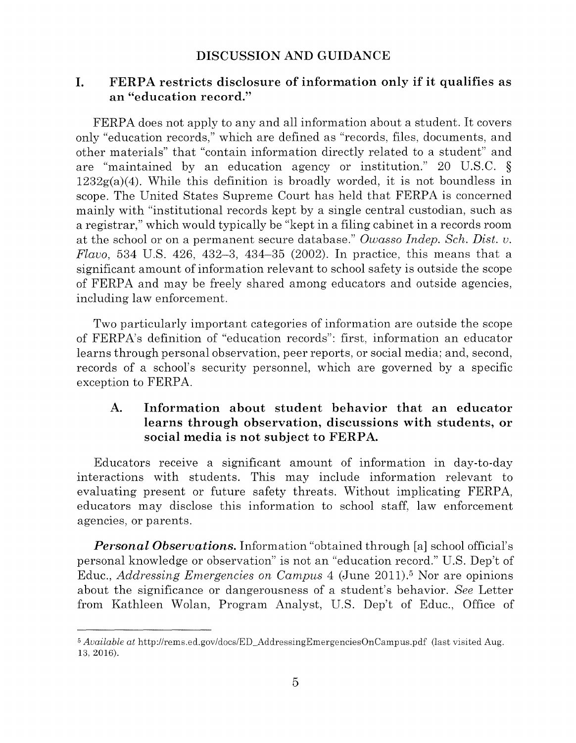### **DISCUSSION AND GUIDANCE**

### I. **FERPA restricts disclosure of information only if it qualifies as an "education record."**

FERPA does not apply to any and all information about a student. It covers only "education records," which are defined as "records, files, documents, and other materials" that "contain information directly related to a student" and are "maintained by an education agency or institution." 20 U.S.C. §  $1232g(a)(4)$ . While this definition is broadly worded, it is not boundless in scope. The United States Supreme Court has held that FERPA is concerned mainly with "institutional records kept by a single central custodian, such as a registrar," which would typically be "kept in a filing cabinet in a records room at the school or on a permanent secure database." *Owasso Indep. Sch. Dist. u. Flauo,* 534 U.S. 426, 432-3, 434-35 (2002). In practice, this means that a significant amount of information relevant to school safety is outside the scope of FERPA and may be freely shared among educators and outside agencies, including law enforcement.

Two particularly important categories of information are outside the scope of FERPA's definition of "education records": first, information an educator learns through personal observation, peer reports, or social media; and, second, records of a school's security personnel, which are governed by a specific exception to FERPA.

### **A. Information about student behavior that an educator learns through observation, discussions with students, or social media is not subject to FERPA.**

Educators receive a significant amount of information in day-to-day interactions with students. This may include information relevant to evaluating present or future safety threats. Without implicating FERPA, educators may disclose this information to school staff, law enforcement agencies, or parents.

*Personal Observations.* Information "obtained through [a] school official's personal knowledge or observation" is not an "education record." U.S. Dep't of Educ., *Addressing Emergencies on Campus* 4 (June 2011).<sup>5</sup> Nor are opinions about the significance or dangerousness of a student's behavior. *See* Letter from Kathleen Wolan, Program Analyst, U.S. Dep't of Educ., Office of

<sup>5</sup>*Available at* http://rems.ed.gov/docs/ED\_AddressingEmergenciesOnCampus.pdf (last visited Aug. 13, 2016).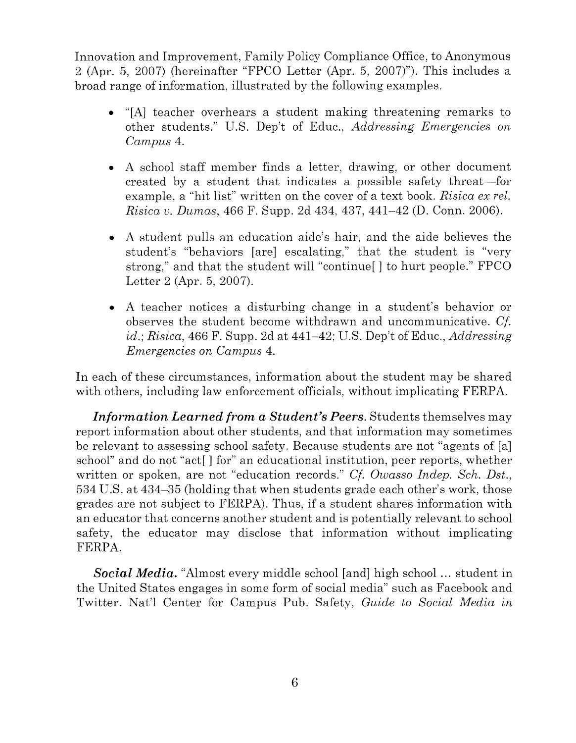Innovation and Improvement, Family Policy Compliance Office, to Anonymous 2 (Apr. 5, 2007) (hereinafter "FPCO Letter (Apr. 5, 2007)"). This includes a broad range of information, illustrated by the following examples.

- "[A] teacher overhears a student making threatening remarks to other students." U.S. Dep't of Educ., *Addressing Emergencies on Campus* 4.
- A school staff member finds a letter, drawing, or other document created by a student that indicates a possible safety threat—for example, a "hit list" written on the cover of a text book. *Risica ex rel. Risica u. Dumas,* 466 F. Supp. 2d 434, 437, 441-42 (D. Conn. 2006).
- A student pulls an education aide's hair, and the aide believes the student's "behaviors [are] escalating," that the student is "very strong," and that the student will "continue[] to hurt people." FPCO Letter 2 (Apr. 5, 2007).
- A teacher notices a disturbing change in a student's behavior or observes the student become withdrawn and uncommunicative. *Cf. id.; Risica,* 466 F. Supp. 2d at 441-42; U.S. Dep't of Educ., *Addressing Emergencies on Campus* 4.

In each of these circumstances, information about the student may be shared with others, including law enforcement officials, without implicating FERPA.

*Information Learned from a Student's Peers.* Students themselves may report information about other students, and that information may sometimes be relevant to assessing school safety. Because students are not "agents of [a] school" and do not "act[] for" an educational institution, peer reports, whether written or spoken, are not "education records." *Cf. Owasso lndep. Sch. Dst.,*  534 U.S. at 434-35 (holding that when students grade each other's work, those grades are not subject to FERPA). Thus, if a student shares information with an educator that concerns another student and is potentially relevant to school safety, the educator may disclose that information without implicating FERPA.

*Social Media.* "Almost every middle school [and] high school ... student in the United States engages in some form of social media" such as Facebook and Twitter. Nat'l Center for Campus Pub. Safety, *Guide to Social Media in*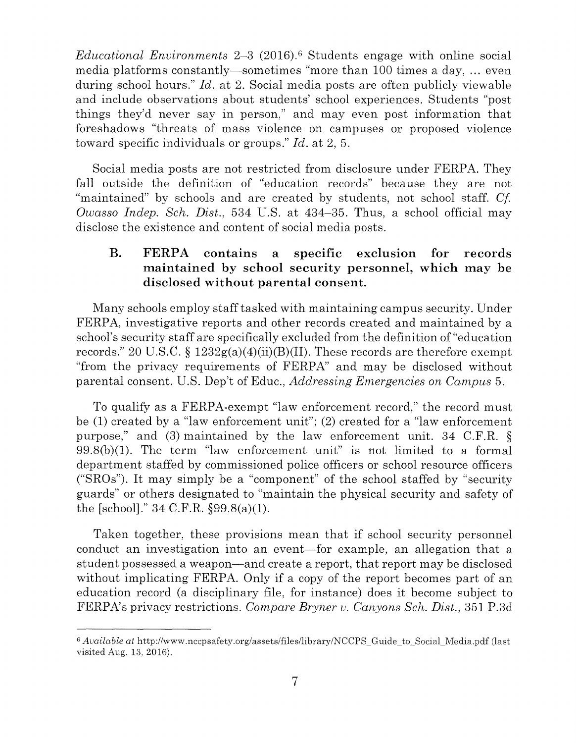*Educational Environments* 2–3 (2016).<sup>6</sup> Students engage with online social media platforms constantly-sometimes "more than 100 times a day, ... even during school hours." *Id.* at 2. Social media posts are often publicly viewable and include observations about students' school experiences. Students "post things they'd never say in person," and may even post information that foreshadows "threats of mass violence on campuses or proposed violence toward specific individuals or groups." *Id.* at 2, 5.

Social media posts are not restricted from disclosure under FERPA. They fall outside the definition of "education records" because they are not "maintained" by schools and are created by students, not school staff. *Cf Owasso Indep. Sch. Dist.,* 534 U.S. at 434-35. Thus, a school official may disclose the existence and content of social media posts.

### **B. FERPA contains a specific exclusion for records maintained by school security personnel, which may be disclosed without parental consent.**

Many schools employ stafftasked with maintaining campus security. Under FERPA, investigative reports and other records created and maintained by a school's security staff are specifically excluded from the definition of "education records." 20 U.S.C. §  $1232g(a)(4)(ii)(B)(II)$ . These records are therefore exempt "from the privacy requirements of FERPA" and may be disclosed without parental consent. U.S. Dep't of Educ., *Addressing Emergencies on Campus* 5.

To qualify as a FERPA-exempt "law enforcement record," the record must be (1) created by a "law enforcement unit"; (2) created for a "law enforcement purpose," and (3) maintained by the law enforcement unit. 34 C.F.R. § 99.8(b)(l). The term "law enforcement unit" is not limited to a formal department staffed by commissioned police officers or school resource officers ("SROs"). It may simply be a "component" of the school staffed by "security guards" or others designated to "maintain the physical security and safety of the [school]."  $34 \text{ C.F.R. }$  \$99.8(a)(1).

Taken together, these provisions mean that if school security personnel conduct an investigation into an event—for example, an allegation that a student possessed a weapon—and create a report, that report may be disclosed without implicating FERPA. Only if a copy of the report becomes part of an education record (a disciplinary file, for instance) does it become subject to FERPA's privacy restrictions. *Compare Bryner u. Canyons Sch. Dist.,* 351 P.3d

<sup>6</sup>*Available at* http://www.nccpsafety.org/assets/files/library/NCCPS\_Guide\_to\_Social\_Media.pdf (last visited Aug. 13, 2016).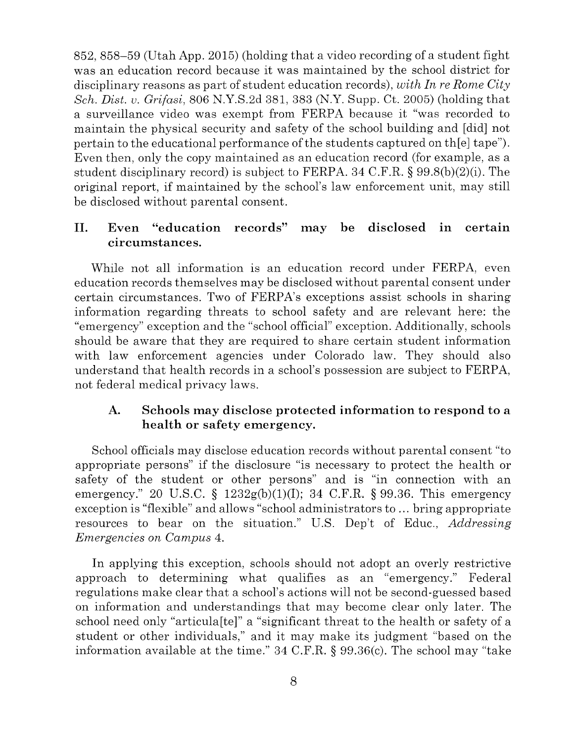852, 858-59 (Utah App. 2015) (holding that a video recording of a student fight was an education record because it was maintained by the school district for disciplinary reasons as part of student education records), *with In re Rome City Sch. Dist. u. Grifasi,* 806 N.Y.S.2d 381, 383 (N.Y. Supp. Ct. 2005) (holding that a surveillance video was exempt from FERPA because it "was recorded to maintain the physical security and safety of the school building and [ did] not pertain to the educational performance ofthe students captured on th[e] tape"). Even then, only the copy maintained as an education record (for example, as a student disciplinary record) is subject to FERPA. 34 C.F.R. § 99.8(b)(2)(i). The original report, if maintained by the school's law enforcement unit, may still be disclosed without parental consent.

### II. Even "education records" may be disclosed in certain **circumstances.**

While not all information is an education record under FERPA, even education records themselves may be disclosed without parental consent under certain circumstances. Two of FERPA's exceptions assist schools in sharing information regarding threats to school safety and are relevant here: the "emergency" exception and the "school official" exception. Additionally, schools should be aware that they are required to share certain student information with law enforcement agencies under Colorado law. They should also understand that health records in a school's possession are subject to FERPA, not federal medical privacy laws.

### **A. Schools may disclose protected information to respond to a health or safety emergency.**

School officials may disclose education records without parental consent "to appropriate persons" if the disclosure "is necessary to protect the health or safety of the student or other persons" and is "in connection with an emergency." 20 U.S.C.  $\S$  1232g(b)(1)(1); 34 C.F.R.  $\S$  99.36. This emergency exception is "flexible" and allows "school administrators to ... bring appropriate resources to bear on the situation." U.S. Dep't of Educ., *Addressing Emergencies on Campus* 4.

In applying this exception, schools should not adopt an overly restrictive approach to determining what qualifies as an "emergency." Federal regulations make clear that a school's actions will not be second-guessed based on information and understandings that may become clear only later. The school need only "articula[te]" a "significant threat to the health or safety of a student or other individuals," and it may make its judgment "based on the information available at the time." 34 C.F.R. § 99.36(c). The school may "take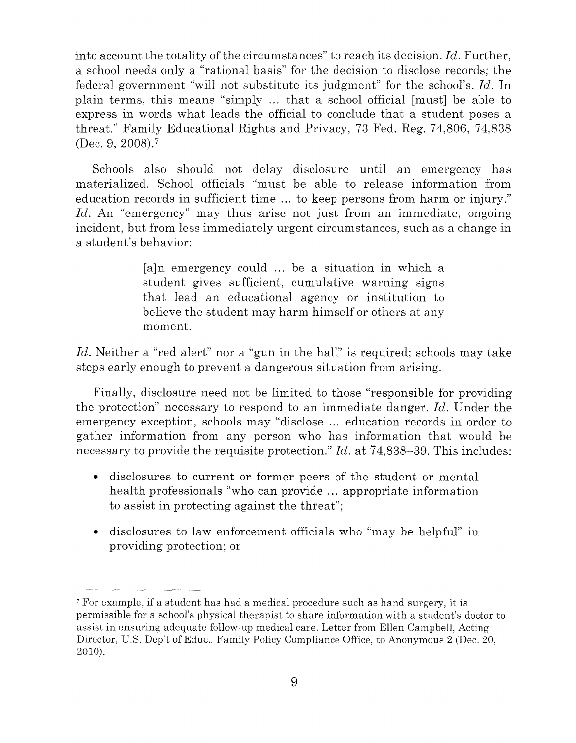into account the totality of the circumstances" to reach its decision. *Id.* Further, a school needs only a "rational basis" for the decision to disclose records; the federal government "will not substitute its judgment" for the school's. *Id.* In plain terms, this means "simply ... that a school official [must] be able to express in words what leads the official to conclude that a student poses a threat." Family Educational Rights and Privacy, 73 Fed. Reg. 74,806, 74,838 (Dec. 9, 2008).7

Schools also should not delay disclosure until an emergency has materialized. School officials "must be able to release information from education records in sufficient time ... to keep persons from harm or injury." Id. An "emergency" may thus arise not just from an immediate, ongoing incident, but from less immediately urgent circumstances, such as a change in a student's behavior:

> [a]n emergency could ... be a situation in which a student gives sufficient, cumulative warning signs that lead an educational agency or institution to believe the student may harm himself or others at any moment.

*Id.* Neither a "red alert" nor a "gun in the hall" is required; schools may take steps early enough to prevent a dangerous situation from arising.

Finally, disclosure need not be limited to those "responsible for providing the protection" necessary to respond to an immediate danger. *Id.* Under the emergency exception, schools may "disclose ... education records in order to gather information from any person who has information that would be necessary to provide the requisite protection." *Id.* at 74,838–39. This includes:

- disclosures to current or former peers of the student or mental health professionals "who can provide ... appropriate information to assist in protecting against the threat";
- disclosures to law enforcement officials who "may be helpful" in providing protection; or

<sup>7</sup> For example, if a student has had a medical procedure such as hand surgery, it is permissible for a school's physical therapist to share information with a student's doctor to assist in ensuring adequate follow-up medical care. Letter from Ellen Campbell, Acting Director, U.S. Dep't of Educ., Family Policy Compliance Office, to Anonymous 2 (Dec. 20, 2010).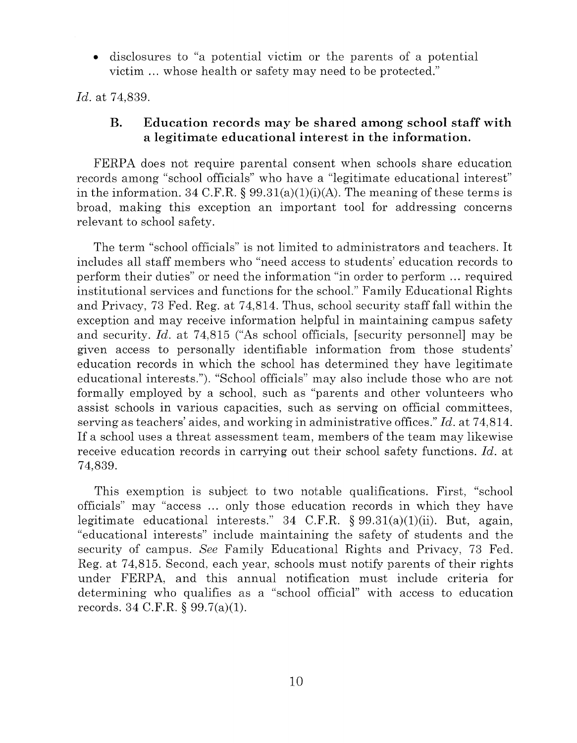disclosures to "a potential victim or the parents of a potential victim ... whose health or safety may need to be protected."

*Id.* at 74,839.

### **B. Education records may be shared among school staff with a legitimate educational interest in the information.**

FERPA does not require parental consent when schools share education records among "school officials" who have a "legitimate educational interest" in the information. 34 C.F.R. § 99.31(a)(1)(i)(A). The meaning of these terms is broad, making this exception an important tool for addressing concerns relevant to school safety.

The term "school officials" is not limited to administrators and teachers. It includes all staff members who "need access to students' education records to perform their duties" or need the information "in order to perform ... required institutional services and functions for the school." Family Educational Rights and Privacy, 73 Fed. Reg. at 74,814. Thus, school security staff fall within the exception and may receive information helpful in maintaining campus safety and security. *Id.* at 74,815 ("As school officials, [security personnel] may be given access to personally identifiable information from those students' education records in which the school has determined they have legitimate educational interests."). "School officials" may also include those who are not formally employed by a school, such as "parents and other volunteers who assist schools in various capacities, such as serving on official committees, serving as teachers' aides, and working in administrative offices." *Id.* at 74,814. If a school uses a threat assessment team, members of the team may likewise receive education records in carrying out their school safety functions. *Id.* at 74,839.

This exemption is subject to two notable qualifications. First, "school officials" may "access ... only those education records in which they have legitimate educational interests." 34 C.F.R.  $\S 99.31(a)(1)(ii)$ . But, again, "educational interests" include maintaining the safety of students and the security of campus. *See* Family Educational Rights and Privacy, 73 Fed. Reg. at 74,815. Second, each year, schools must notify parents of their rights under FERPA, and this annual notification must include criteria for determining who qualifies as a "school official" with access to education records. 34 C.F.R.  $\S 99.7(a)(1)$ .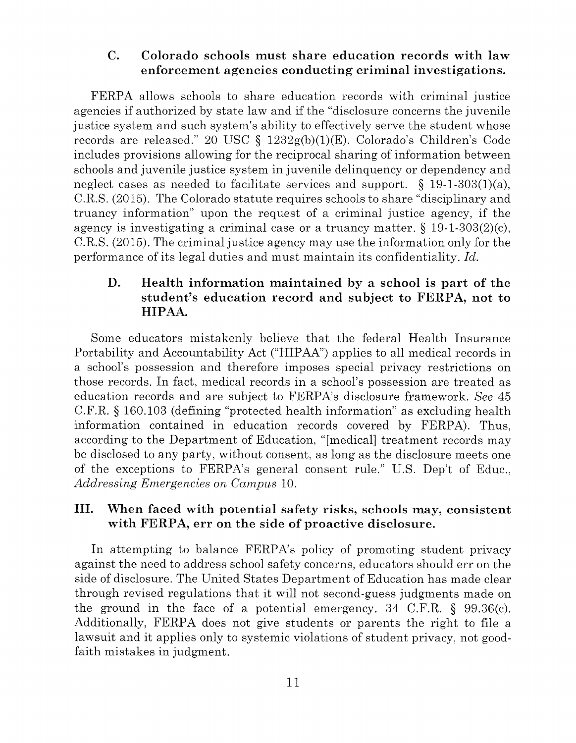#### **C. Colorado schools must share education records with law enforcement agencies conducting criminal investigations.**

FERPA allows schools to share education records with criminal justice agencies if authorized by state law and if the "disclosure concerns the juvenile justice system and such system's ability to effectively serve the student whose records are released." 20 USC §  $1232g(b)(1)(E)$ . Colorado's Children's Code includes provisions allowing for the reciprocal sharing of information between schools and juvenile justice system in juvenile delinquency or dependency and neglect cases as needed to facilitate services and support.  $\S$  19-1-303(1)(a), C.R.S. (2015). The Colorado statute requires schools to share "disciplinary and truancy information" upon the request of a criminal justice agency, if the agency is investigating a criminal case or a truancy matter.  $\S$  19-1-303(2)(c), C.R.S. (2015). The criminal justice agency may use the information only for the performance of its legal duties and must maintain its confidentiality. *Id.* 

### **D. Health information maintained by a school is part of the student's education record and subject to FERPA, not to HIPAA.**

Some educators mistakenly believe that the federal Health Insurance Portability and Accountability Act ("HIPAA") applies to all medical records in a school's possession and therefore imposes special privacy restrictions on those records. In fact, medical records in a school's possession are treated as education records and are subject to FERPA's disclosure framework. *See* 45 C.F.R. § 160.103 (defining "protected health information" as excluding health information contained in education records covered by FERPA). Thus, according to the Department of Education, "[medical] treatment records may be disclosed to any party, without consent, as long as the disclosure meets one of the exceptions to FERPA's general consent rule." U.S. Dep't of Educ., *Addressing Emergencies on Campus* 10.

### III. **When faced with potential safety risks, schools may, consistent with FERPA, err on the side of proactive disclosure.**

In attempting to balance FERPA's policy of promoting student privacy against the need to address school safety concerns, educators should err on the side of disclosure. The United States Department of Education has made clear through revised regulations that it will not second-guess judgments made on the ground in the face of a potential emergency. 34 C.F.R. § 99.36(c). Additionally, FERPA does not give students or parents the right to file a lawsuit and it applies only to systemic violations of student privacy, not goodfaith mistakes in judgment.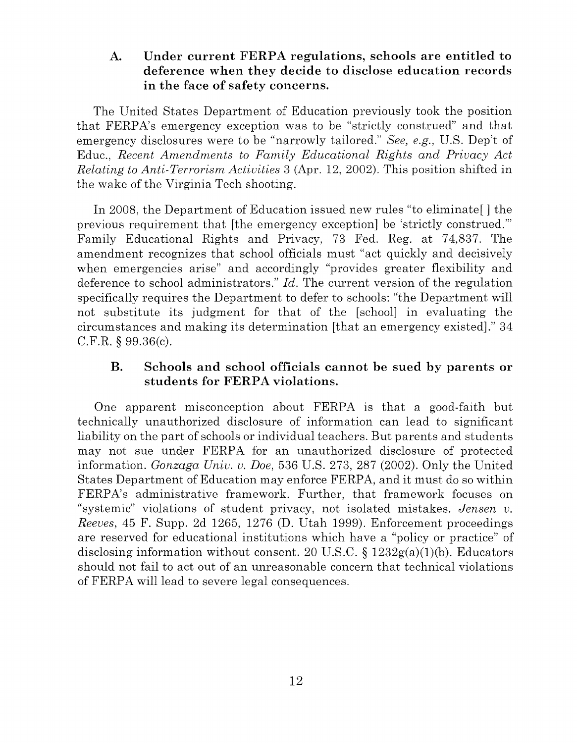### **A. Under current FERPA regulations, schools are entitled to deference when they decide to disclose education records in the face of safety concerns.**

The United States Department of Education previously took the position that FERPA's emergency exception was to be "strictly construed" and that emergency disclosures were to be "narrowly tailored." *See, e.g.,* U.S. Dep't of Educ., *Recent Amendments to Family Educational Rights and Privacy Act Relating to Anti-Terrorism Activities* 3 (Apr. 12, 2002). This position shifted in the wake of the Virginia Tech shooting.

In 2008, the Department of Education issued new rules "to eliminate[] the previous requirement that [the emergency exception] be 'strictly construed."' Family Educational Rights and Privacy, 73 Fed. Reg. at 74,837. The amendment recognizes that school officials must "act quickly and decisively when emergencies arise" and accordingly "provides greater flexibility and deference to school administrators." *Id.* The current version of the regulation specifically requires the Department to defer to schools: "the Department will not substitute its judgment for that of the [school] in evaluating the circumstances and making its determination [that an emergency existed]." 34 C.F.R. § 99.36(c).

### **B. Schools and school officials cannot be sued by parents or students for FERPA violations.**

One apparent misconception about FERPA is that a good-faith but technically unauthorized disclosure of information can lead to significant liability on the part of schools or individual teachers. But parents and students may not sue under FERPA for an unauthorized disclosure of protected information. *Gonzaga Univ. v. Doe,* 536 U.S. 273, 287 (2002). Only the United States Department of Education may enforce FERPA, and it must do so within FERPA's administrative framework. Further, that framework focuses on "systemic" violations of student privacy, not isolated mistakes. *Jensen v. Reeves,* 45 F. Supp. 2d 1265, 1276 **(D.** Utah 1999). Enforcement proceedings are reserved for educational institutions which have a "policy or practice" of disclosing information without consent. 20 U.S.C.  $\S 1232g(a)(1)(b)$ . Educators should not fail to act out of an unreasonable concern that technical violations of FERPA will lead to severe legal consequences.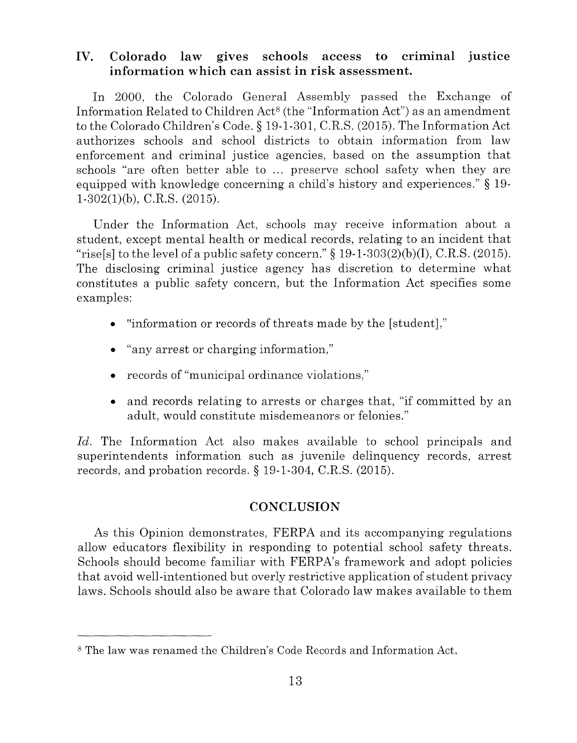### **IV. Colorado law gives schools access to criminal justice information which can assist in risk assessment.**

In 2000, the Colorado General Assembly passed the Exchange of Information Related to Children Act<sup>8</sup> (the "Information Act") as an amendment to the Colorado Children's Code.§ 19-1-301, C.R.S. (2015). The Information Act authorizes schools and school districts to obtain information from law enforcement and criminal justice agencies, based on the assumption that schools "are often better able to ... preserve school safety when they are equipped with knowledge concerning a child's history and experiences." § 19 1-302(1)(b), C.R.S. (2015).

Under the Information Act, schools may receive information about a student, except mental health or medical records, relating to an incident that "rise[s] to the level of a public safety concern."  $\S$  19-1-303(2)(b)(I), C.R.S. (2015). The disclosing criminal justice agency has discretion to determine what constitutes a public safety concern, but the Information Act specifies some examples:

- "information or records of threats made by the [student],"
- "any arrest or charging information,"
- records of "municipal ordinance violations,"
- and records relating to arrests or charges that, "if committed by an adult, would constitute misdemeanors or felonies."

*Id.* The Information Act also makes available to school principals and superintendents information such as juvenile delinquency records, arrest records, and probation records. § 19-1-304, C.R.S. (2015).

### **CONCLUSION**

As this Opinion demonstrates, FERPA and its accompanying regulations allow educators flexibility in responding to potential school safety threats. Schools should become familiar with FERPA's framework and adopt policies that avoid well-intentioned but overly restrictive application of student privacy laws. Schools should also be aware that Colorado law makes available to them

s The law was renamed the Children's Code Records and Information Act.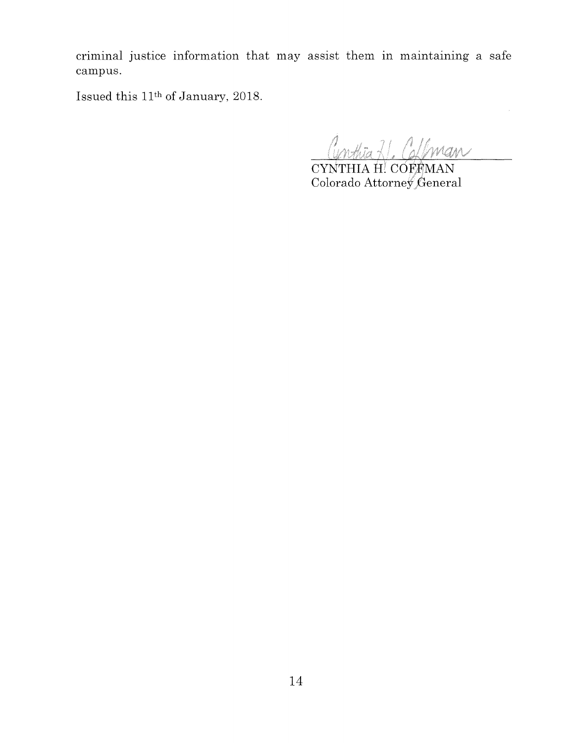criminal justice information that may assist them 1n maintaining a safe campus.

Issued this 11th of January, 2018.

Cunthia 21. Collman

 $\hat{\boldsymbol{\gamma}}$ 

CYNTHIA H! COFFMAN Colorado Attorney General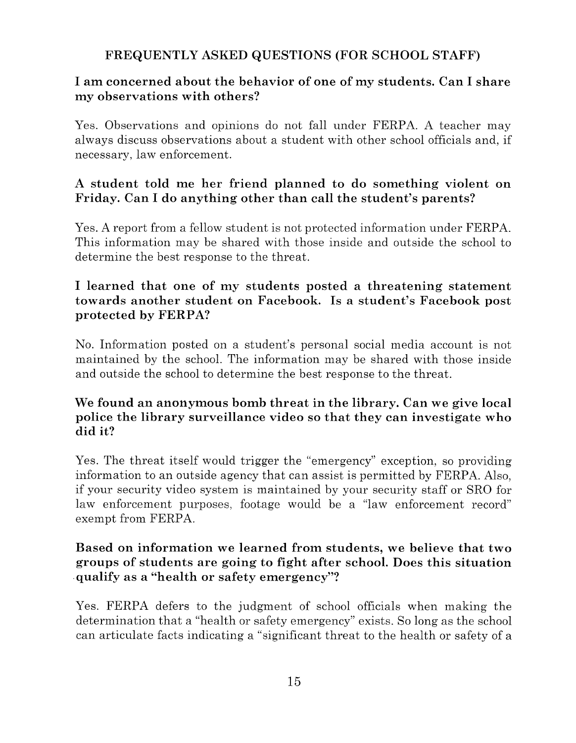# **FREQUENTLY ASKED QUESTIONS (FOR SCHOOL STAFF)**

## **I am concerned about the behavior of one of my students. Can I share my observations with others?**

Yes. Observations and opinions do not fall under FERPA. A teacher may always discuss observations about a student with other school officials and, if necessary, law enforcement.

# **A student told me her friend planned to do something violent on Friday. Can I do anything other than call the student's parents?**

Yes. A report from a fellow student is not protected information under FERPA. This information may be shared with those inside and outside the school to determine the best response to the threat.

## **I learned that one of my students posted a threatening statement towards another student on Facebook. Is a student's Facebook post protected by FERPA?**

No. Information posted on a student's personal social media account is not maintained by the school. The information may be shared with those inside and outside the school to determine the best response to the threat.

## **We found an anonymous bomb threat in the library. Can we give local police the library surveillance video so that they can investigate who did it?**

Yes. The threat itself would trigger the "emergency" exception, so providing information to an outside agency that can assist is permitted by FERPA. Also, if your security video system is maintained by your security staff or SRO for law enforcement purposes, footage would be a "law enforcement record" exempt from FERPA.

# **Based on information we learned from students, we believe that two groups of students are going to fight after school. Does this situation**  .**qualify as a "health or safety emergency"?**

Yes. FERPA defers to the judgment of school officials when making the determination that a "health or safety emergency" exists. So long as the school can articulate facts indicating a "significant threat to the health or safety of a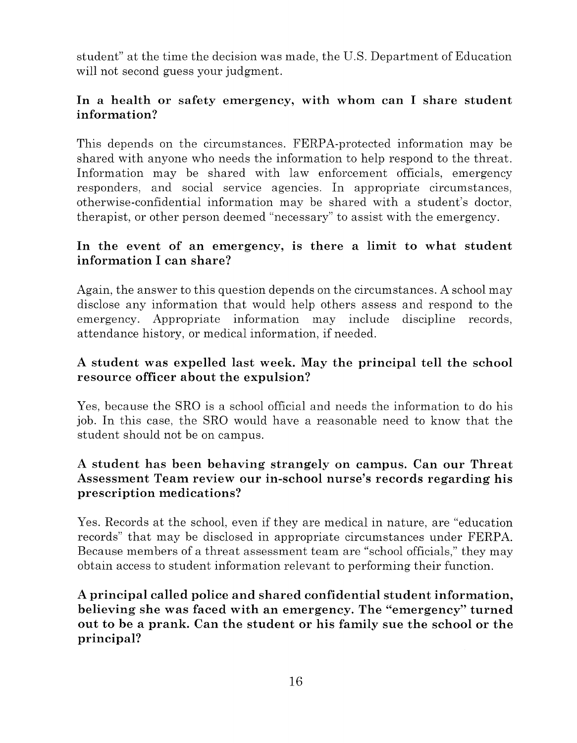student" at the time the decision was made, the U.S. Department of Education will not second guess your judgment.

## **In a health or safety emergency, with whom can I share student information?**

This depends on the circumstances. FERPA-protected information may be shared with anyone who needs the information to help respond to the threat. Information may be shared with law enforcement officials, emergency responders, and social service agencies. In appropriate circumstances, otherwise-confidential information may be shared with a student's doctor, therapist, or other person deemed "necessary" to assist with the emergency.

## **In the event of an emergency, is there a limit to what student information I can share?**

Again, the answer to this question depends on the circumstances. A school may disclose any information that would help others assess and respond to the emergency. Appropriate information may include discipline records, attendance history, or medical information, if needed.

# **A student was expelled last week. May the principal tell the school resource officer about the expulsion?**

Yes, because the SRO is a school official and needs the information to do his job. In this case, the SRO would have a reasonable need to know that the student should not be on campus.

# **A student has been behaving strangely on campus. Can our Threat Assessment Team review our in-school nurse's records regarding his prescription medications?**

Yes. Records at the school, even if they are medical in nature, are "education records" that may be disclosed in appropriate circumstances under FERPA. Because members of a threat assessment team are "school officials," they may obtain access to student information relevant to performing their function.

**A principal called police and shared confidential student information, believing she was faced with an emergency. The "emergency" turned out to be a prank. Can the student or his family sue the school or the principal?**